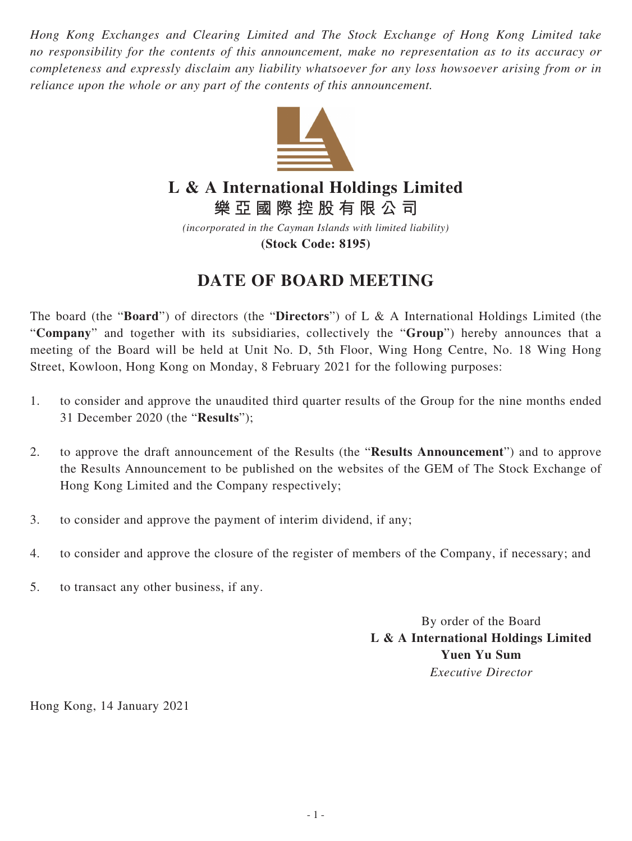*Hong Kong Exchanges and Clearing Limited and The Stock Exchange of Hong Kong Limited take no responsibility for the contents of this announcement, make no representation as to its accuracy or completeness and expressly disclaim any liability whatsoever for any loss howsoever arising from or in reliance upon the whole or any part of the contents of this announcement.*



## **L & A International Holdings Limited**

**樂亞國際控股有限公司**

*(incorporated in the Cayman Islands with limited liability)* **(Stock Code: 8195)**

## **DATE OF BOARD MEETING**

The board (the "**Board**") of directors (the "**Directors**") of L & A International Holdings Limited (the "**Company**" and together with its subsidiaries, collectively the "**Group**") hereby announces that a meeting of the Board will be held at Unit No. D, 5th Floor, Wing Hong Centre, No. 18 Wing Hong Street, Kowloon, Hong Kong on Monday, 8 February 2021 for the following purposes:

- 1. to consider and approve the unaudited third quarter results of the Group for the nine months ended 31 December 2020 (the "**Results**");
- 2. to approve the draft announcement of the Results (the "**Results Announcement**") and to approve the Results Announcement to be published on the websites of the GEM of The Stock Exchange of Hong Kong Limited and the Company respectively;
- 3. to consider and approve the payment of interim dividend, if any;
- 4. to consider and approve the closure of the register of members of the Company, if necessary; and
- 5. to transact any other business, if any.

By order of the Board **L & A International Holdings Limited Yuen Yu Sum** *Executive Director*

Hong Kong, 14 January 2021